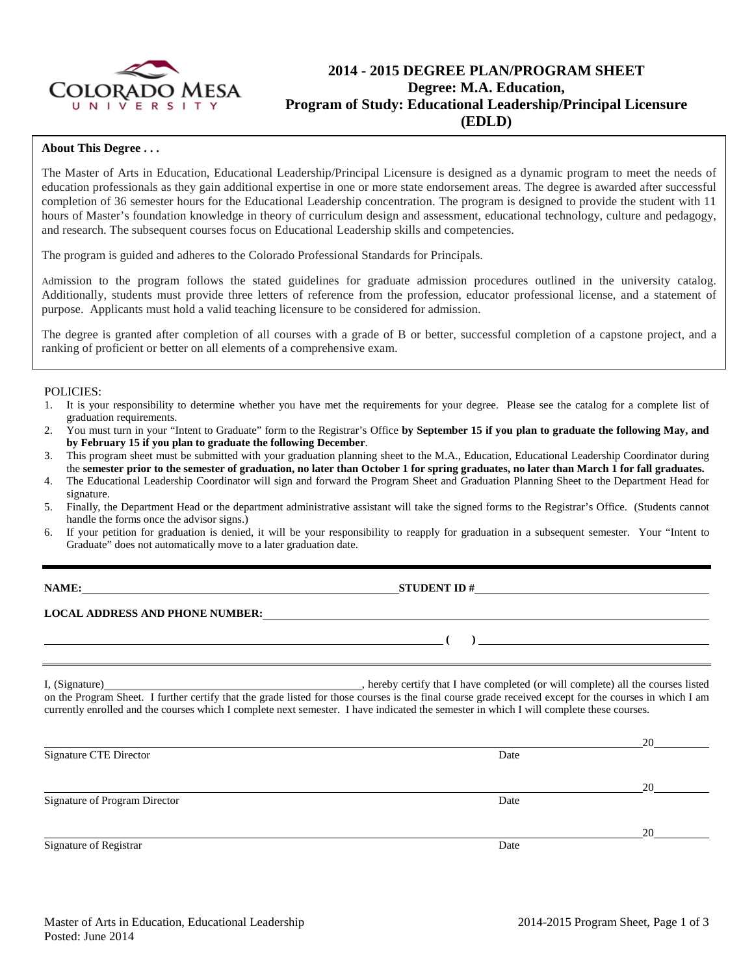

# **2014 - 2015 DEGREE PLAN/PROGRAM SHEET Degree: M.A. Education, Program of Study: Educational Leadership/Principal Licensure (EDLD)**

#### **About This Degree . . .**

The Master of Arts in Education, Educational Leadership/Principal Licensure is designed as a dynamic program to meet the needs of education professionals as they gain additional expertise in one or more state endorsement areas. The degree is awarded after successful completion of 36 semester hours for the Educational Leadership concentration. The program is designed to provide the student with 11 hours of Master's foundation knowledge in theory of curriculum design and assessment, educational technology, culture and pedagogy, and research. The subsequent courses focus on Educational Leadership skills and competencies.

The program is guided and adheres to the Colorado Professional Standards for Principals.

Admission to the program follows the stated guidelines for graduate admission procedures outlined in the university catalog. Additionally, students must provide three letters of reference from the profession, educator professional license, and a statement of purpose. Applicants must hold a valid teaching licensure to be considered for admission.

The degree is granted after completion of all courses with a grade of B or better, successful completion of a capstone project, and a ranking of proficient or better on all elements of a comprehensive exam.

#### POLICIES:

- 1. It is your responsibility to determine whether you have met the requirements for your degree. Please see the catalog for a complete list of graduation requirements.
- 2. You must turn in your "Intent to Graduate" form to the Registrar's Office **by September 15 if you plan to graduate the following May, and by February 15 if you plan to graduate the following December**.
- 3. This program sheet must be submitted with your graduation planning sheet to the M.A., Education, Educational Leadership Coordinator during the **semester prior to the semester of graduation, no later than October 1 for spring graduates, no later than March 1 for fall graduates.**
- 4. The Educational Leadership Coordinator will sign and forward the Program Sheet and Graduation Planning Sheet to the Department Head for signature.
- 5. Finally, the Department Head or the department administrative assistant will take the signed forms to the Registrar's Office. (Students cannot handle the forms once the advisor signs.)
- 6. If your petition for graduation is denied, it will be your responsibility to reapply for graduation in a subsequent semester. Your "Intent to Graduate" does not automatically move to a later graduation date.

**NAME: STUDENT ID # STUDENT ID # STUDENT ID # STUDENT ID # STUDENT ID # STUDENT ID # STUDENT ID # STUDENT ID # STUDENT ID # STUDENT ID # STUDENT ID # STUDENT ID # STUDENT ID # STUDENT ID # STU** 

**( )** 

## **LOCAL ADDRESS AND PHONE NUMBER:**

I, (Signature) , hereby certify that I have completed (or will complete) all the courses listed on the Program Sheet. I further certify that the grade listed for those courses is the final course grade received except for the courses in which I am currently enrolled and the courses which I complete next semester. I have indicated the semester in which I will complete these courses.

|                               |      | 20 |
|-------------------------------|------|----|
| <b>Signature CTE Director</b> | Date |    |
|                               |      | 20 |
| Signature of Program Director | Date |    |
|                               |      | 20 |
| Signature of Registrar        | Date |    |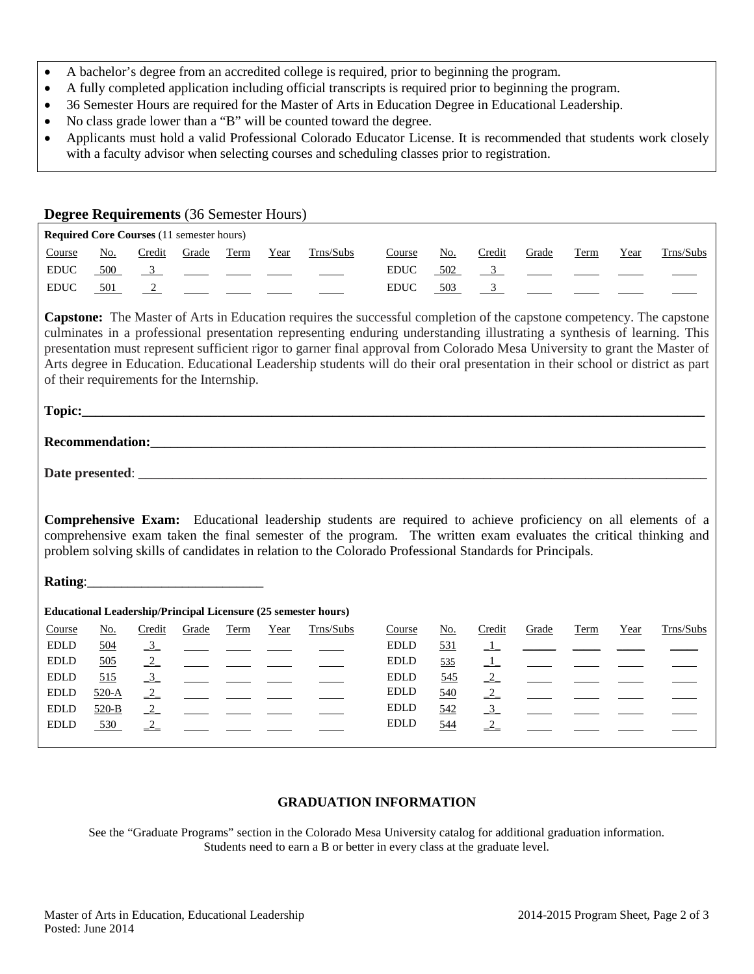- A bachelor's degree from an accredited college is required, prior to beginning the program.
- A fully completed application including official transcripts is required prior to beginning the program.
- 36 Semester Hours are required for the Master of Arts in Education Degree in Educational Leadership.
- No class grade lower than a "B" will be counted toward the degree.
- Applicants must hold a valid Professional Colorado Educator License. It is recommended that students work closely with a faculty advisor when selecting courses and scheduling classes prior to registration.

| <b>Degree Requirements (36 Semester Hours)</b>                                                                                                                                                                                                                                                                                                                                                                                                                                                                                                                       |            |                                       |            |                                                                                                                                                                                                                                                                                                                                                                                                                                      |                                                                                    |           |                            |            |                                 |               |             |      |           |
|----------------------------------------------------------------------------------------------------------------------------------------------------------------------------------------------------------------------------------------------------------------------------------------------------------------------------------------------------------------------------------------------------------------------------------------------------------------------------------------------------------------------------------------------------------------------|------------|---------------------------------------|------------|--------------------------------------------------------------------------------------------------------------------------------------------------------------------------------------------------------------------------------------------------------------------------------------------------------------------------------------------------------------------------------------------------------------------------------------|------------------------------------------------------------------------------------|-----------|----------------------------|------------|---------------------------------|---------------|-------------|------|-----------|
| <b>Required Core Courses (11 semester hours)</b>                                                                                                                                                                                                                                                                                                                                                                                                                                                                                                                     |            |                                       |            |                                                                                                                                                                                                                                                                                                                                                                                                                                      |                                                                                    |           |                            |            |                                 |               |             |      |           |
| Course                                                                                                                                                                                                                                                                                                                                                                                                                                                                                                                                                               | No.        | Credit                                | Grade Term |                                                                                                                                                                                                                                                                                                                                                                                                                                      | Year                                                                               | Trns/Subs | Course                     | <u>No.</u> | Credit                          | Grade         | <b>Term</b> | Year | Trns/Subs |
| <b>EDUC</b>                                                                                                                                                                                                                                                                                                                                                                                                                                                                                                                                                          | 500        | $\frac{3}{2}$                         |            | $\frac{1}{\sqrt{1-\frac{1}{2}}}\left( \frac{1}{\sqrt{1-\frac{1}{2}}}\right) ^{2}=\frac{1}{\sqrt{1-\frac{1}{2}}}\left( \frac{1}{\sqrt{1-\frac{1}{2}}}\right) ^{2}=\frac{1}{\sqrt{1-\frac{1}{2}}}\left( \frac{1}{\sqrt{1-\frac{1}{2}}}\right) ^{2}=\frac{1}{\sqrt{1-\frac{1}{2}}}\left( \frac{1}{\sqrt{1-\frac{1}{2}}}\right) ^{2}=\frac{1}{\sqrt{1-\frac{1}{2}}}\left( \frac{1}{\sqrt{1-\frac{1}{2}}}\right) ^{2}=\frac{1}{\sqrt{1-\$ |                                                                                    |           | <b>EDUC</b>                | 502        | $\frac{3}{2}$                   | $\frac{1}{2}$ |             |      |           |
| <b>EDUC</b>                                                                                                                                                                                                                                                                                                                                                                                                                                                                                                                                                          | 501        | $\frac{2}{2}$                         |            |                                                                                                                                                                                                                                                                                                                                                                                                                                      |                                                                                    |           | <b>EDUC</b>                | 503        | $\frac{3}{2}$                   |               |             |      |           |
| <b>Capstone:</b> The Master of Arts in Education requires the successful completion of the capstone competency. The capstone<br>culminates in a professional presentation representing enduring understanding illustrating a synthesis of learning. This<br>presentation must represent sufficient rigor to garner final approval from Colorado Mesa University to grant the Master of<br>Arts degree in Education. Educational Leadership students will do their oral presentation in their school or district as part<br>of their requirements for the Internship. |            |                                       |            |                                                                                                                                                                                                                                                                                                                                                                                                                                      |                                                                                    |           |                            |            |                                 |               |             |      |           |
|                                                                                                                                                                                                                                                                                                                                                                                                                                                                                                                                                                      |            |                                       |            |                                                                                                                                                                                                                                                                                                                                                                                                                                      |                                                                                    |           |                            |            |                                 |               |             |      |           |
|                                                                                                                                                                                                                                                                                                                                                                                                                                                                                                                                                                      |            |                                       |            |                                                                                                                                                                                                                                                                                                                                                                                                                                      |                                                                                    |           |                            |            |                                 |               |             |      |           |
|                                                                                                                                                                                                                                                                                                                                                                                                                                                                                                                                                                      |            |                                       |            |                                                                                                                                                                                                                                                                                                                                                                                                                                      |                                                                                    |           |                            |            |                                 |               |             |      |           |
| <b>Comprehensive Exam:</b> Educational leadership students are required to achieve proficiency on all elements of a<br>comprehensive exam taken the final semester of the program. The written exam evaluates the critical thinking and<br>problem solving skills of candidates in relation to the Colorado Professional Standards for Principals.<br><b>Educational Leadership/Principal Licensure (25 semester hours)</b>                                                                                                                                          |            |                                       |            |                                                                                                                                                                                                                                                                                                                                                                                                                                      |                                                                                    |           |                            |            |                                 |               |             |      |           |
|                                                                                                                                                                                                                                                                                                                                                                                                                                                                                                                                                                      |            |                                       |            |                                                                                                                                                                                                                                                                                                                                                                                                                                      |                                                                                    |           |                            |            |                                 |               |             |      |           |
| Course                                                                                                                                                                                                                                                                                                                                                                                                                                                                                                                                                               | <u>No.</u> | Credit                                | Grade      | Term                                                                                                                                                                                                                                                                                                                                                                                                                                 | Year                                                                               | Trns/Subs | Course                     | No.        | Credit                          | Grade         | Term        | Year | Trns/Subs |
| <b>EDLD</b><br><b>EDLD</b>                                                                                                                                                                                                                                                                                                                                                                                                                                                                                                                                           | 504        | $\frac{3}{2}$<br>$\frac{2}{\sqrt{2}}$ |            |                                                                                                                                                                                                                                                                                                                                                                                                                                      |                                                                                    |           | <b>EDLD</b><br><b>EDLD</b> | 531        | $\perp$                         |               |             |      |           |
| <b>EDLD</b>                                                                                                                                                                                                                                                                                                                                                                                                                                                                                                                                                          | 505<br>515 | $\frac{3}{2}$                         |            | $\frac{1}{\sqrt{1-\frac{1}{2}}}$                                                                                                                                                                                                                                                                                                                                                                                                     |                                                                                    |           | <b>EDLD</b>                | 535<br>545 | $\perp$<br>$\frac{2}{\sqrt{2}}$ |               |             |      |           |
| <b>EDLD</b>                                                                                                                                                                                                                                                                                                                                                                                                                                                                                                                                                          | $520-A$    | $\frac{2}{\sqrt{2}}$                  |            | $\frac{1}{\sqrt{1-\frac{1}{2}}}\left(\frac{1}{\sqrt{1-\frac{1}{2}}}\right)\left(\frac{1}{\sqrt{1-\frac{1}{2}}}\right)$                                                                                                                                                                                                                                                                                                               |                                                                                    |           | <b>EDLD</b>                | 540        | $\frac{2}{\sqrt{2}}$            | $\frac{1}{2}$ |             |      |           |
| <b>EDLD</b>                                                                                                                                                                                                                                                                                                                                                                                                                                                                                                                                                          | $520-B$    | $\frac{2}{\sqrt{2}}$                  |            |                                                                                                                                                                                                                                                                                                                                                                                                                                      |                                                                                    |           | <b>EDLD</b>                | 542        | $\frac{3}{2}$                   |               |             |      |           |
| <b>EDLD</b>                                                                                                                                                                                                                                                                                                                                                                                                                                                                                                                                                          | 530        | $\frac{2}{2}$                         |            |                                                                                                                                                                                                                                                                                                                                                                                                                                      | $\overline{\phantom{a}}$ and $\overline{\phantom{a}}$ and $\overline{\phantom{a}}$ |           | <b>EDLD</b>                | 544        | $\frac{2}{2}$                   |               |             |      |           |
|                                                                                                                                                                                                                                                                                                                                                                                                                                                                                                                                                                      |            |                                       |            |                                                                                                                                                                                                                                                                                                                                                                                                                                      |                                                                                    |           |                            |            |                                 |               |             |      |           |

# **GRADUATION INFORMATION**

See the "Graduate Programs" section in the Colorado Mesa University catalog for additional graduation information. Students need to earn a B or better in every class at the graduate level.